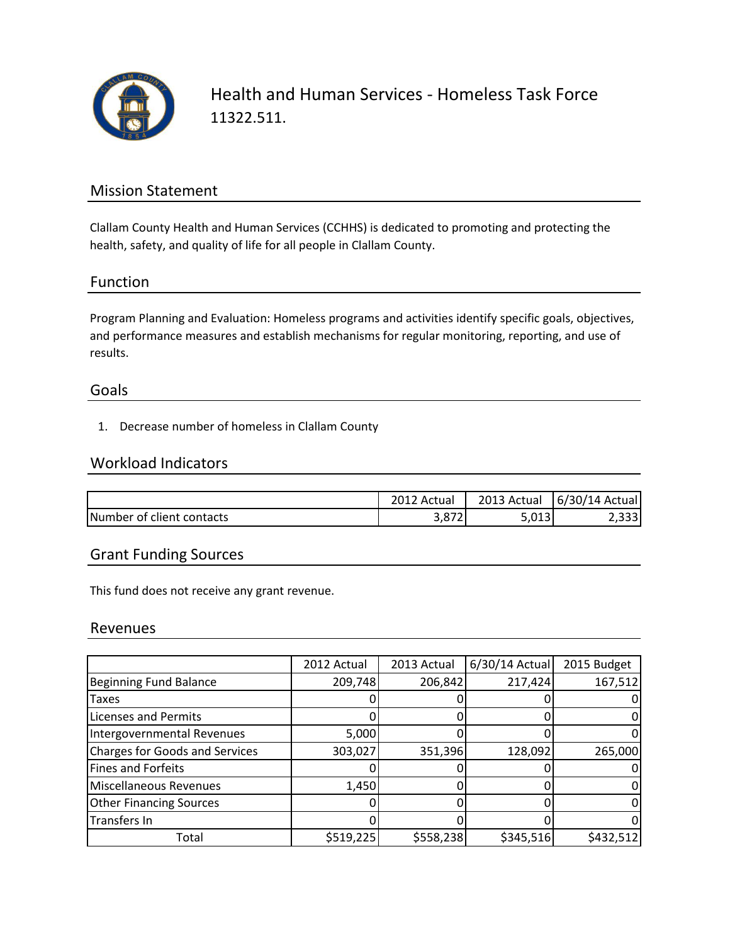

Health and Human Services - Homeless Task Force 11322.511.

## Mission Statement

Clallam County Health and Human Services (CCHHS) is dedicated to promoting and protecting the health, safety, and quality of life for all people in Clallam County.

### Function

Program Planning and Evaluation: Homeless programs and activities identify specific goals, objectives, and performance measures and establish mechanisms for regular monitoring, reporting, and use of results.

#### Goals

1. Decrease number of homeless in Clallam County

### Workload Indicators

|                           | Actual      | 2013 Actual | 6/30/14 Actual |
|---------------------------|-------------|-------------|----------------|
| Number of client contacts | ັບ<br>3,87Z | 5,013       | اددد,∠         |

## Grant Funding Sources

This fund does not receive any grant revenue.

#### Revenues

|                                       | 2012 Actual | 2013 Actual | $6/30/14$ Actual | 2015 Budget |
|---------------------------------------|-------------|-------------|------------------|-------------|
| <b>Beginning Fund Balance</b>         | 209,748     | 206,842     | 217,424          | 167,512     |
| Taxes                                 |             |             |                  |             |
| Licenses and Permits                  |             |             |                  |             |
| Intergovernmental Revenues            | 5,000       |             |                  |             |
| <b>Charges for Goods and Services</b> | 303,027     | 351,396     | 128,092          | 265,000     |
| <b>Fines and Forfeits</b>             |             |             |                  |             |
| <b>Miscellaneous Revenues</b>         | 1,450       |             |                  |             |
| <b>Other Financing Sources</b>        |             |             |                  |             |
| Transfers In                          |             |             |                  |             |
| Total                                 | \$519,225   | \$558,238   | \$345,516        | \$432,512   |